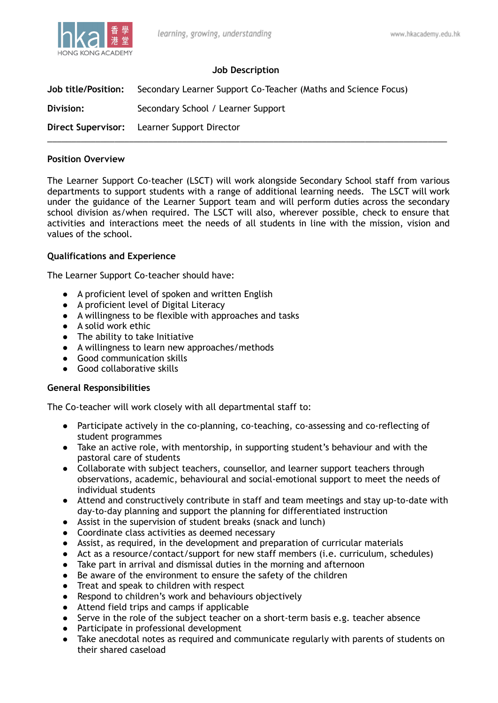

## **Job Description**

**Job title/Position:** Secondary Learner Support Co-Teacher (Maths and Science Focus) **Division:** Secondary School / Learner Support **Direct Supervisor:** Learner Support Director \_\_\_\_\_\_\_\_\_\_\_\_\_\_\_\_\_\_\_\_\_\_\_\_\_\_\_\_\_\_\_\_\_\_\_\_\_\_\_\_\_\_\_\_\_\_\_\_\_\_\_\_\_\_\_\_\_\_\_\_\_\_\_\_\_\_\_\_\_\_\_\_\_\_\_\_\_\_\_\_\_\_\_

#### **Position Overview**

The Learner Support Co-teacher (LSCT) will work alongside Secondary School staff from various departments to support students with a range of additional learning needs. The LSCT will work under the guidance of the Learner Support team and will perform duties across the secondary school division as/when required. The LSCT will also, wherever possible, check to ensure that activities and interactions meet the needs of all students in line with the mission, vision and values of the school.

## **Qualifications and Experience**

The Learner Support Co-teacher should have:

- A proficient level of spoken and written English
- A proficient level of Digital Literacy
- A willingness to be flexible with approaches and tasks
- A solid work ethic
- The ability to take Initiative
- A willingness to learn new approaches/methods
- Good communication skills
- Good collaborative skills

## **General Responsibilities**

The Co-teacher will work closely with all departmental staff to:

- Participate actively in the co-planning, co-teaching, co-assessing and co-reflecting of student programmes
- Take an active role, with mentorship, in supporting student's behaviour and with the pastoral care of students
- Collaborate with subject teachers, counsellor, and learner support teachers through observations, academic, behavioural and social-emotional support to meet the needs of individual students
- Attend and constructively contribute in staff and team meetings and stay up-to-date with day-to-day planning and support the planning for differentiated instruction
- Assist in the supervision of student breaks (snack and lunch)
- Coordinate class activities as deemed necessary
- Assist, as required, in the development and preparation of curricular materials
- Act as a resource/contact/support for new staff members (i.e. curriculum, schedules)
- Take part in arrival and dismissal duties in the morning and afternoon
- Be aware of the environment to ensure the safety of the children
- Treat and speak to children with respect
- Respond to children's work and behaviours objectively
- Attend field trips and camps if applicable
- Serve in the role of the subject teacher on a short-term basis e.g. teacher absence
- Participate in professional development
- Take anecdotal notes as required and communicate regularly with parents of students on their shared caseload